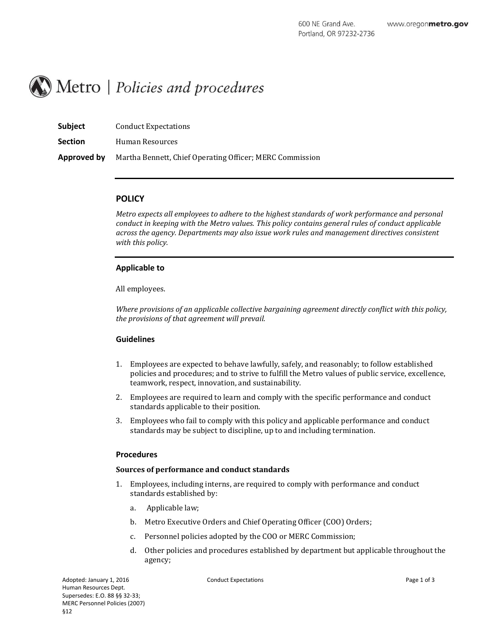

| <b>Subject</b> | <b>Conduct Expectations</b>                              |
|----------------|----------------------------------------------------------|
| <b>Section</b> | Human Resources                                          |
| Approved by    | Martha Bennett, Chief Operating Officer; MERC Commission |

# **POLICY**

*Metro expects all employees to adhere to the highest standards of work performance and personal conduct in keeping with the Metro values. This policy contains general rules of conduct applicable across the agency. Departments may also issue work rules and management directives consistent with this policy.*

# **Applicable to**

All employees.

*Where provisions of an applicable collective bargaining agreement directly conflict with this policy, the provisions of that agreement will prevail.*

## **Guidelines**

- 1. Employees are expected to behave lawfully, safely, and reasonably; to follow established policies and procedures; and to strive to fulfill the Metro values of public service, excellence, teamwork, respect, innovation, and sustainability.
- 2. Employees are required to learn and comply with the specific performance and conduct standards applicable to their position.
- 3. Employees who fail to comply with this policy and applicable performance and conduct standards may be subject to discipline, up to and including termination.

## **Procedures**

## **Sources of performance and conduct standards**

- 1. Employees, including interns, are required to comply with performance and conduct standards established by:
	- a. Applicable law;
	- b. Metro Executive Orders and Chief Operating Officer (COO) Orders;
	- c. Personnel policies adopted by the COO or MERC Commission;
	- d. Other policies and procedures established by department but applicable throughout the agency;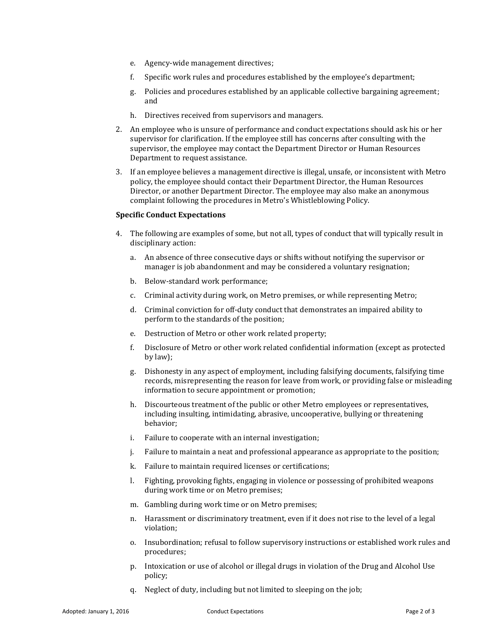- e. Agency-wide management directives;
- f. Specific work rules and procedures established by the employee's department;
- g. Policies and procedures established by an applicable collective bargaining agreement; and
- h. Directives received from supervisors and managers.
- 2. An employee who is unsure of performance and conduct expectations should ask his or her supervisor for clarification. If the employee still has concerns after consulting with the supervisor, the employee may contact the Department Director or Human Resources Department to request assistance.
- 3. If an employee believes a management directive is illegal, unsafe, or inconsistent with Metro policy, the employee should contact their Department Director, the Human Resources Director, or another Department Director. The employee may also make an anonymous complaint following the procedures in Metro's Whistleblowing Policy.

### **Specific Conduct Expectations**

- 4. The following are examples of some, but not all, types of conduct that will typically result in disciplinary action:
	- a. An absence of three consecutive days or shifts without notifying the supervisor or manager is job abandonment and may be considered a voluntary resignation;
	- b. Below-standard work performance;
	- c. Criminal activity during work, on Metro premises, or while representing Metro;
	- d. Criminal conviction for off-duty conduct that demonstrates an impaired ability to perform to the standards of the position;
	- e. Destruction of Metro or other work related property;
	- f. Disclosure of Metro or other work related confidential information (except as protected by law);
	- g. Dishonesty in any aspect of employment, including falsifying documents, falsifying time records, misrepresenting the reason for leave from work, or providing false or misleading information to secure appointment or promotion;
	- h. Discourteous treatment of the public or other Metro employees or representatives, including insulting, intimidating, abrasive, uncooperative, bullying or threatening behavior;
	- i. Failure to cooperate with an internal investigation;
	- j. Failure to maintain a neat and professional appearance as appropriate to the position;
	- k. Failure to maintain required licenses or certifications;
	- l. Fighting, provoking fights, engaging in violence or possessing of prohibited weapons during work time or on Metro premises;
	- m. Gambling during work time or on Metro premises;
	- n. Harassment or discriminatory treatment, even if it does not rise to the level of a legal violation;
	- o. Insubordination; refusal to follow supervisory instructions or established work rules and procedures;
	- p. Intoxication or use of alcohol or illegal drugs in violation of the Drug and Alcohol Use policy;
	- q. Neglect of duty, including but not limited to sleeping on the job;